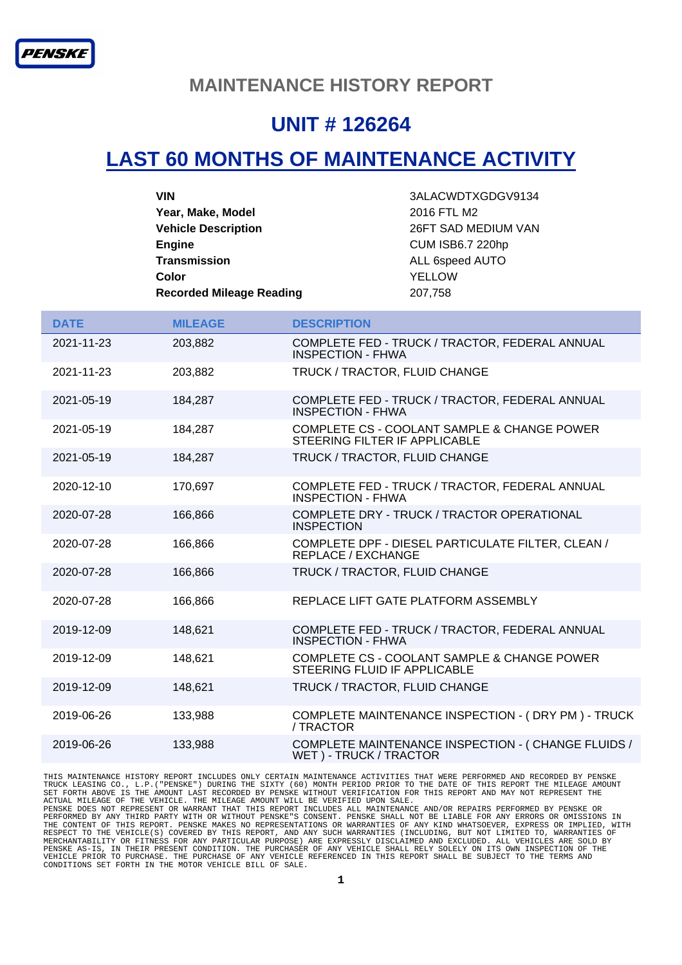#### **MAINTENANCE HISTORY REPORT**

### **UNIT # 126264**

## **LAST 60 MONTHS OF MAINTENANCE ACTIVITY**

| <b>VIN</b>                      | 3ALACWDTXGDGV9134       |
|---------------------------------|-------------------------|
| Year, Make, Model               | 2016 FTL M2             |
| <b>Vehicle Description</b>      | 26FT SAD MEDIUM VAN     |
| <b>Engine</b>                   | <b>CUM ISB6.7 220hp</b> |
| <b>Transmission</b>             | ALL 6speed AUTO         |
| Color                           | YELLOW                  |
| <b>Recorded Mileage Reading</b> | 207,758                 |

| <b>DATE</b> | <b>MILEAGE</b> | <b>DESCRIPTION</b>                                                             |
|-------------|----------------|--------------------------------------------------------------------------------|
| 2021-11-23  | 203,882        | COMPLETE FED - TRUCK / TRACTOR, FEDERAL ANNUAL<br><b>INSPECTION - FHWA</b>     |
| 2021-11-23  | 203.882        | TRUCK / TRACTOR, FLUID CHANGE                                                  |
| 2021-05-19  | 184,287        | COMPLETE FED - TRUCK / TRACTOR, FEDERAL ANNUAL<br>INSPECTION - FHWA            |
| 2021-05-19  | 184,287        | COMPLETE CS - COOLANT SAMPLE & CHANGE POWER<br>STEERING FILTER IF APPLICABLE   |
| 2021-05-19  | 184,287        | TRUCK / TRACTOR, FLUID CHANGE                                                  |
| 2020-12-10  | 170,697        | COMPLETE FED - TRUCK / TRACTOR, FEDERAL ANNUAL<br><b>INSPECTION - FHWA</b>     |
| 2020-07-28  | 166,866        | COMPLETE DRY - TRUCK / TRACTOR OPERATIONAL<br><b>INSPECTION</b>                |
| 2020-07-28  | 166,866        | COMPLETE DPF - DIESEL PARTICULATE FILTER, CLEAN /<br><b>REPLACE / EXCHANGE</b> |
| 2020-07-28  | 166,866        | TRUCK / TRACTOR, FLUID CHANGE                                                  |
| 2020-07-28  | 166,866        | REPLACE LIFT GATE PLATFORM ASSEMBLY                                            |
| 2019-12-09  | 148,621        | COMPLETE FED - TRUCK / TRACTOR, FEDERAL ANNUAL<br><b>INSPECTION - FHWA</b>     |
| 2019-12-09  | 148,621        | COMPLETE CS - COOLANT SAMPLE & CHANGE POWER<br>STEERING FLUID IF APPLICABLE    |
| 2019-12-09  | 148,621        | TRUCK / TRACTOR, FLUID CHANGE                                                  |
| 2019-06-26  | 133,988        | COMPLETE MAINTENANCE INSPECTION - (DRY PM) - TRUCK<br>/ TRACTOR                |
| 2019-06-26  | 133,988        | COMPLETE MAINTENANCE INSPECTION - (CHANGE FLUIDS /<br>WET) - TRUCK / TRACTOR   |

THIS MAINTENANCE HISTORY REPORT INCLUDES ONLY CERTAIN MAINTENANCE ACTIVITIES THAT WERE PERFORMED AND RECORDED BY PENSKE<br>TRUCK LEASING CO., L.P. ("PENSKE") DURING THE SIXTY (60) MONTH PERIOD PRIOR TO THE DATE OF THIS REPORT MERCHANTABILITY OR FITNESS FOR ANY PARTICULAR PURPOSE) ARE EXPRESSLY DISCLAIMED AND EXCLUDED. ALL VEHICLES ARE SOLD BY<br>PENSKE AS-IS, IN THEIR PRESENT CONDITION. THE PURCHASER OF ANY VEHICLE SHALL RELY SOLELY ON ITS OWN INS CONDITIONS SET FORTH IN THE MOTOR VEHICLE BILL OF SALE.